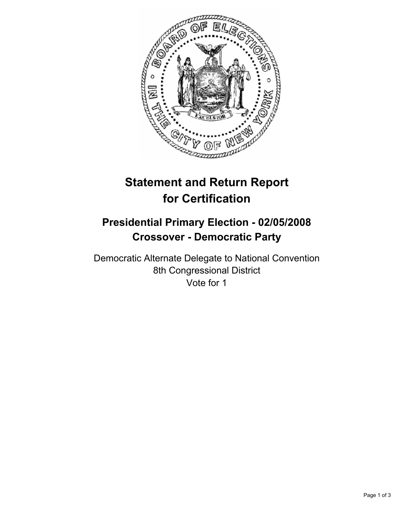

## **Statement and Return Report for Certification**

## **Presidential Primary Election - 02/05/2008 Crossover - Democratic Party**

Democratic Alternate Delegate to National Convention 8th Congressional District Vote for 1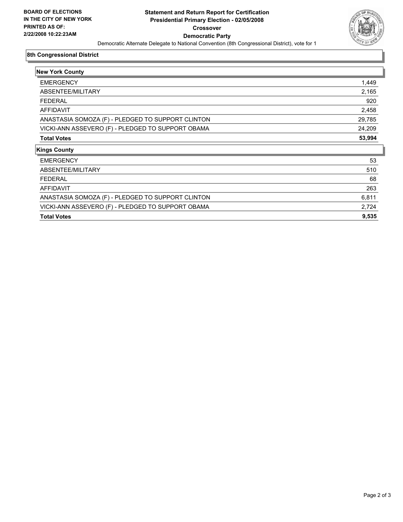

## **8th Congressional District**

| <b>New York County</b>                            |        |
|---------------------------------------------------|--------|
| <b>EMERGENCY</b>                                  | 1,449  |
| ABSENTEE/MILITARY                                 | 2,165  |
| <b>FEDERAL</b>                                    | 920    |
| AFFIDAVIT                                         | 2,458  |
| ANASTASIA SOMOZA (F) - PLEDGED TO SUPPORT CLINTON | 29,785 |
| VICKI-ANN ASSEVERO (F) - PLEDGED TO SUPPORT OBAMA | 24,209 |
| <b>Total Votes</b>                                | 53,994 |
| <b>Kings County</b>                               |        |
| <b>EMERGENCY</b>                                  | 53     |
| ABSENTEE/MILITARY                                 | 510    |
| <b>FEDERAL</b>                                    | 68     |
| AFFIDAVIT                                         | 263    |
| ANASTASIA SOMOZA (F) - PLEDGED TO SUPPORT CLINTON | 6,811  |
| VICKI-ANN ASSEVERO (F) - PLEDGED TO SUPPORT OBAMA | 2,724  |
| <b>Total Votes</b>                                | 9,535  |